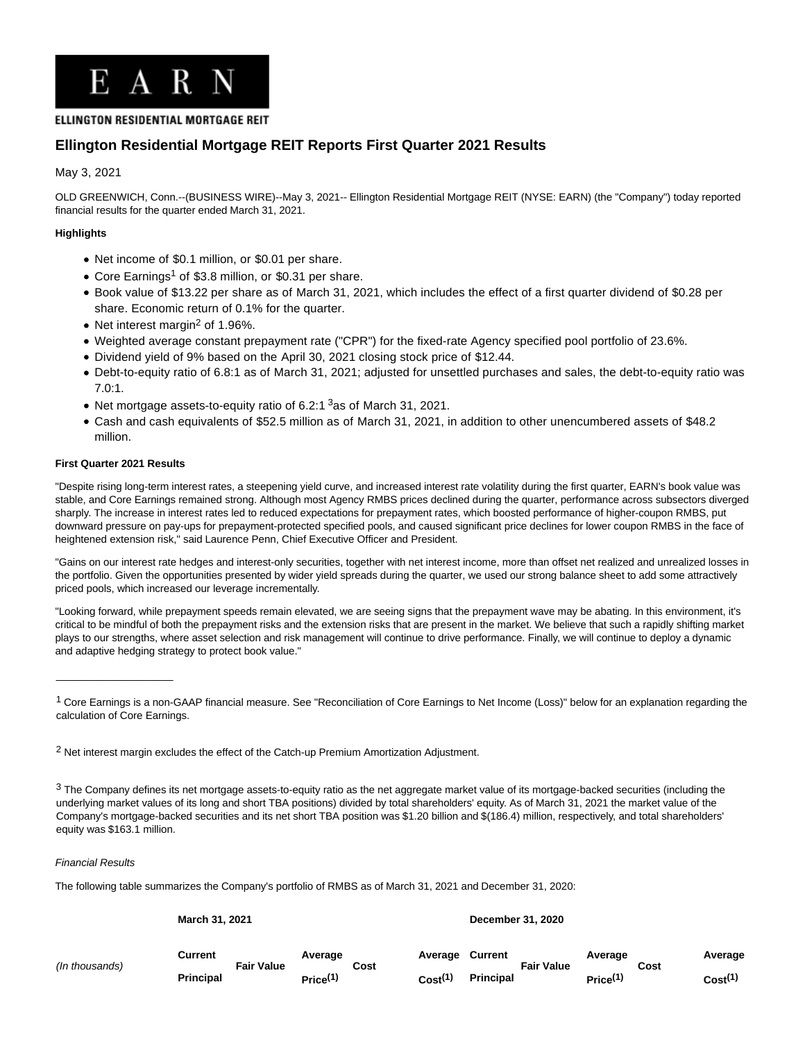

# ELLINGTON RESIDENTIAL MORTGAGE REIT

# **Ellington Residential Mortgage REIT Reports First Quarter 2021 Results**

May 3, 2021

OLD GREENWICH, Conn.--(BUSINESS WIRE)--May 3, 2021-- Ellington Residential Mortgage REIT (NYSE: EARN) (the "Company") today reported financial results for the quarter ended March 31, 2021.

# **Highlights**

- Net income of \$0.1 million, or \$0.01 per share.
- Core Earnings<sup>1</sup> of \$3.8 million, or \$0.31 per share.
- Book value of \$13.22 per share as of March 31, 2021, which includes the effect of a first quarter dividend of \$0.28 per share. Economic return of 0.1% for the quarter.
- Net interest margin<sup>2</sup> of 1.96%.
- Weighted average constant prepayment rate ("CPR") for the fixed-rate Agency specified pool portfolio of 23.6%.
- Dividend yield of 9% based on the April 30, 2021 closing stock price of \$12.44.
- Debt-to-equity ratio of 6.8:1 as of March 31, 2021; adjusted for unsettled purchases and sales, the debt-to-equity ratio was 7.0:1.
- Net mortgage assets-to-equity ratio of 6.2:1  $3$ as of March 31, 2021.
- Cash and cash equivalents of \$52.5 million as of March 31, 2021, in addition to other unencumbered assets of \$48.2 million.

## **First Quarter 2021 Results**

 $\frac{1}{2}$  ,  $\frac{1}{2}$  ,  $\frac{1}{2}$  ,  $\frac{1}{2}$  ,  $\frac{1}{2}$  ,  $\frac{1}{2}$  ,  $\frac{1}{2}$  ,  $\frac{1}{2}$  ,  $\frac{1}{2}$  ,  $\frac{1}{2}$  ,  $\frac{1}{2}$  ,  $\frac{1}{2}$  ,  $\frac{1}{2}$  ,  $\frac{1}{2}$  ,  $\frac{1}{2}$  ,  $\frac{1}{2}$  ,  $\frac{1}{2}$  ,  $\frac{1}{2}$  ,  $\frac{1$ 

"Despite rising long-term interest rates, a steepening yield curve, and increased interest rate volatility during the first quarter, EARN's book value was stable, and Core Earnings remained strong. Although most Agency RMBS prices declined during the quarter, performance across subsectors diverged sharply. The increase in interest rates led to reduced expectations for prepayment rates, which boosted performance of higher-coupon RMBS, put downward pressure on pay-ups for prepayment-protected specified pools, and caused significant price declines for lower coupon RMBS in the face of heightened extension risk," said Laurence Penn, Chief Executive Officer and President.

"Gains on our interest rate hedges and interest-only securities, together with net interest income, more than offset net realized and unrealized losses in the portfolio. Given the opportunities presented by wider yield spreads during the quarter, we used our strong balance sheet to add some attractively priced pools, which increased our leverage incrementally.

"Looking forward, while prepayment speeds remain elevated, we are seeing signs that the prepayment wave may be abating. In this environment, it's critical to be mindful of both the prepayment risks and the extension risks that are present in the market. We believe that such a rapidly shifting market plays to our strengths, where asset selection and risk management will continue to drive performance. Finally, we will continue to deploy a dynamic and adaptive hedging strategy to protect book value."

# Financial Results

The following table summarizes the Company's portfolio of RMBS as of March 31, 2021 and December 31, 2020:

|                | March 31, 2021   |                   |                      |      |                        | December 31, 2020 |                   |                      |      |                     |
|----------------|------------------|-------------------|----------------------|------|------------------------|-------------------|-------------------|----------------------|------|---------------------|
| (In thousands) | Current          | <b>Fair Value</b> | Average              | Cost | <b>Average Current</b> |                   | <b>Fair Value</b> | Average              | Cost | Average             |
|                | <b>Principal</b> |                   | Price <sup>(1)</sup> |      | Cost <sup>(1)</sup>    | <b>Principal</b>  |                   | Price <sup>(1)</sup> |      | Cost <sup>(1)</sup> |

 $1$  Core Earnings is a non-GAAP financial measure. See "Reconciliation of Core Earnings to Net Income (Loss)" below for an explanation regarding the calculation of Core Earnings.

<sup>&</sup>lt;sup>2</sup> Net interest margin excludes the effect of the Catch-up Premium Amortization Adjustment.

<sup>&</sup>lt;sup>3</sup> The Company defines its net mortgage assets-to-equity ratio as the net aggregate market value of its mortgage-backed securities (including the underlying market values of its long and short TBA positions) divided by total shareholders' equity. As of March 31, 2021 the market value of the Company's mortgage-backed securities and its net short TBA position was \$1.20 billion and \$(186.4) million, respectively, and total shareholders' equity was \$163.1 million.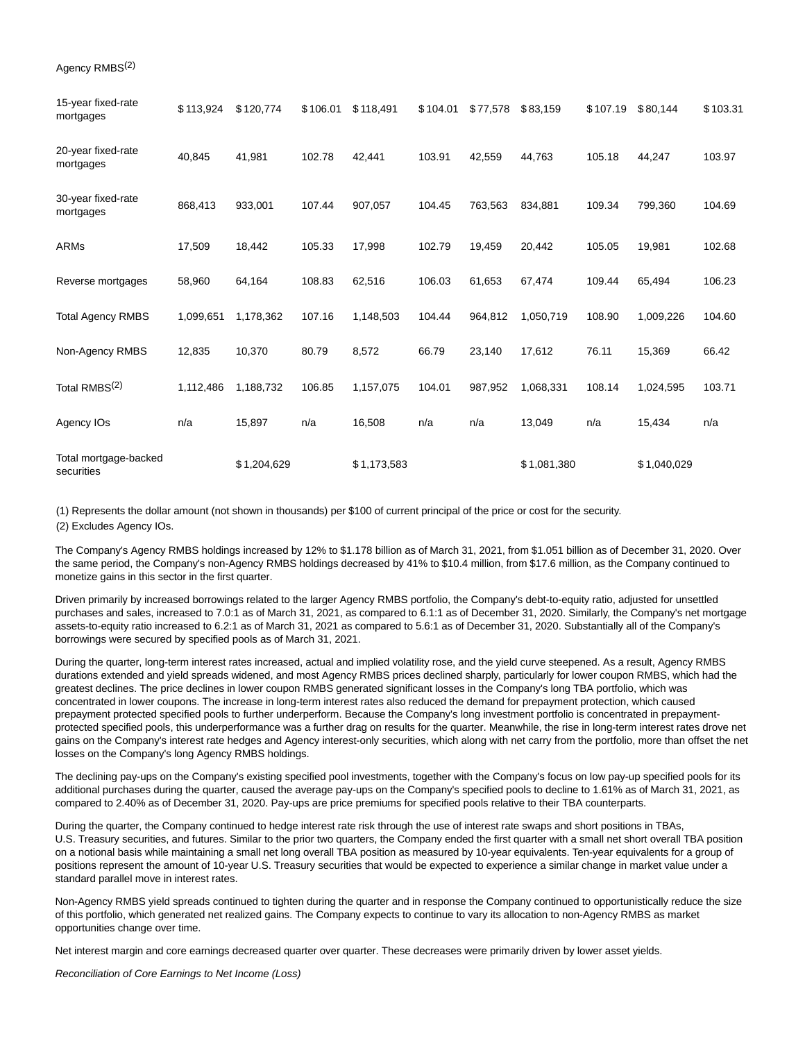| 15-year fixed-rate<br>mortgages     | \$113,924 | \$120,774   | \$106.01 | \$118,491   | \$104.01 | \$77,578 | \$83,159    | \$107.19 | \$80,144    | \$103.31 |
|-------------------------------------|-----------|-------------|----------|-------------|----------|----------|-------------|----------|-------------|----------|
| 20-year fixed-rate<br>mortgages     | 40,845    | 41,981      | 102.78   | 42,441      | 103.91   | 42,559   | 44,763      | 105.18   | 44,247      | 103.97   |
| 30-year fixed-rate<br>mortgages     | 868,413   | 933,001     | 107.44   | 907,057     | 104.45   | 763,563  | 834,881     | 109.34   | 799,360     | 104.69   |
| <b>ARMs</b>                         | 17,509    | 18,442      | 105.33   | 17,998      | 102.79   | 19,459   | 20,442      | 105.05   | 19,981      | 102.68   |
| Reverse mortgages                   | 58,960    | 64,164      | 108.83   | 62,516      | 106.03   | 61,653   | 67,474      | 109.44   | 65,494      | 106.23   |
| <b>Total Agency RMBS</b>            | 1,099,651 | 1,178,362   | 107.16   | 1,148,503   | 104.44   | 964,812  | 1,050,719   | 108.90   | 1,009,226   | 104.60   |
| Non-Agency RMBS                     | 12,835    | 10,370      | 80.79    | 8,572       | 66.79    | 23,140   | 17,612      | 76.11    | 15,369      | 66.42    |
| Total RMBS <sup>(2)</sup>           | 1,112,486 | 1,188,732   | 106.85   | 1,157,075   | 104.01   | 987,952  | 1,068,331   | 108.14   | 1,024,595   | 103.71   |
| Agency IOs                          | n/a       | 15,897      | n/a      | 16,508      | n/a      | n/a      | 13,049      | n/a      | 15,434      | n/a      |
| Total mortgage-backed<br>securities |           | \$1,204,629 |          | \$1,173,583 |          |          | \$1,081,380 |          | \$1,040,029 |          |

(1) Represents the dollar amount (not shown in thousands) per \$100 of current principal of the price or cost for the security.

(2) Excludes Agency IOs.

The Company's Agency RMBS holdings increased by 12% to \$1.178 billion as of March 31, 2021, from \$1.051 billion as of December 31, 2020. Over the same period, the Company's non-Agency RMBS holdings decreased by 41% to \$10.4 million, from \$17.6 million, as the Company continued to monetize gains in this sector in the first quarter.

Driven primarily by increased borrowings related to the larger Agency RMBS portfolio, the Company's debt-to-equity ratio, adjusted for unsettled purchases and sales, increased to 7.0:1 as of March 31, 2021, as compared to 6.1:1 as of December 31, 2020. Similarly, the Company's net mortgage assets-to-equity ratio increased to 6.2:1 as of March 31, 2021 as compared to 5.6:1 as of December 31, 2020. Substantially all of the Company's borrowings were secured by specified pools as of March 31, 2021.

During the quarter, long-term interest rates increased, actual and implied volatility rose, and the yield curve steepened. As a result, Agency RMBS durations extended and yield spreads widened, and most Agency RMBS prices declined sharply, particularly for lower coupon RMBS, which had the greatest declines. The price declines in lower coupon RMBS generated significant losses in the Company's long TBA portfolio, which was concentrated in lower coupons. The increase in long-term interest rates also reduced the demand for prepayment protection, which caused prepayment protected specified pools to further underperform. Because the Company's long investment portfolio is concentrated in prepaymentprotected specified pools, this underperformance was a further drag on results for the quarter. Meanwhile, the rise in long-term interest rates drove net gains on the Company's interest rate hedges and Agency interest-only securities, which along with net carry from the portfolio, more than offset the net losses on the Company's long Agency RMBS holdings.

The declining pay-ups on the Company's existing specified pool investments, together with the Company's focus on low pay-up specified pools for its additional purchases during the quarter, caused the average pay-ups on the Company's specified pools to decline to 1.61% as of March 31, 2021, as compared to 2.40% as of December 31, 2020. Pay-ups are price premiums for specified pools relative to their TBA counterparts.

During the quarter, the Company continued to hedge interest rate risk through the use of interest rate swaps and short positions in TBAs, U.S. Treasury securities, and futures. Similar to the prior two quarters, the Company ended the first quarter with a small net short overall TBA position on a notional basis while maintaining a small net long overall TBA position as measured by 10-year equivalents. Ten-year equivalents for a group of positions represent the amount of 10-year U.S. Treasury securities that would be expected to experience a similar change in market value under a standard parallel move in interest rates.

Non-Agency RMBS yield spreads continued to tighten during the quarter and in response the Company continued to opportunistically reduce the size of this portfolio, which generated net realized gains. The Company expects to continue to vary its allocation to non-Agency RMBS as market opportunities change over time.

Net interest margin and core earnings decreased quarter over quarter. These decreases were primarily driven by lower asset yields.

Reconciliation of Core Earnings to Net Income (Loss)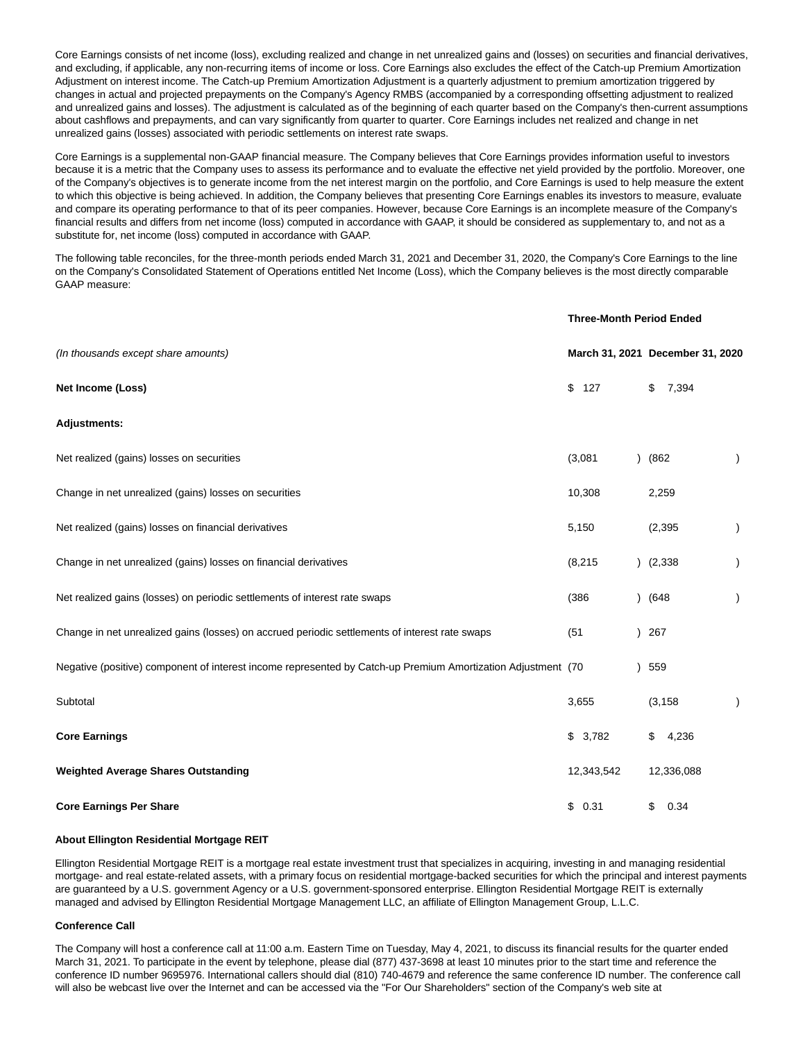Core Earnings consists of net income (loss), excluding realized and change in net unrealized gains and (losses) on securities and financial derivatives, and excluding, if applicable, any non-recurring items of income or loss. Core Earnings also excludes the effect of the Catch-up Premium Amortization Adjustment on interest income. The Catch-up Premium Amortization Adjustment is a quarterly adjustment to premium amortization triggered by changes in actual and projected prepayments on the Company's Agency RMBS (accompanied by a corresponding offsetting adjustment to realized and unrealized gains and losses). The adjustment is calculated as of the beginning of each quarter based on the Company's then-current assumptions about cashflows and prepayments, and can vary significantly from quarter to quarter. Core Earnings includes net realized and change in net unrealized gains (losses) associated with periodic settlements on interest rate swaps.

Core Earnings is a supplemental non-GAAP financial measure. The Company believes that Core Earnings provides information useful to investors because it is a metric that the Company uses to assess its performance and to evaluate the effective net yield provided by the portfolio. Moreover, one of the Company's objectives is to generate income from the net interest margin on the portfolio, and Core Earnings is used to help measure the extent to which this objective is being achieved. In addition, the Company believes that presenting Core Earnings enables its investors to measure, evaluate and compare its operating performance to that of its peer companies. However, because Core Earnings is an incomplete measure of the Company's financial results and differs from net income (loss) computed in accordance with GAAP, it should be considered as supplementary to, and not as a substitute for, net income (loss) computed in accordance with GAAP.

The following table reconciles, for the three-month periods ended March 31, 2021 and December 31, 2020, the Company's Core Earnings to the line on the Company's Consolidated Statement of Operations entitled Net Income (Loss), which the Company believes is the most directly comparable GAAP measure:

|                                                                                                              | <b>Three-Month Period Ended</b> |                                        |
|--------------------------------------------------------------------------------------------------------------|---------------------------------|----------------------------------------|
| (In thousands except share amounts)                                                                          |                                 | March 31, 2021 December 31, 2020       |
| Net Income (Loss)                                                                                            | \$127                           | 7,394<br>\$                            |
| Adjustments:                                                                                                 |                                 |                                        |
| Net realized (gains) losses on securities                                                                    | (3,081)                         | (862)<br>$\mathcal{L}$<br>$\lambda$    |
| Change in net unrealized (gains) losses on securities                                                        | 10,308                          | 2,259                                  |
| Net realized (gains) losses on financial derivatives                                                         | 5,150                           | (2, 395)<br>$\big)$                    |
| Change in net unrealized (gains) losses on financial derivatives                                             | (8, 215)                        | (2, 338)<br>$\mathcal{L}$<br>$\lambda$ |
| Net realized gains (losses) on periodic settlements of interest rate swaps                                   | (386)                           | (648<br>$\mathcal{L}$<br>$\lambda$     |
| Change in net unrealized gains (losses) on accrued periodic settlements of interest rate swaps               | (51)                            | 267<br>$\lambda$                       |
| Negative (positive) component of interest income represented by Catch-up Premium Amortization Adjustment (70 |                                 | 559                                    |
| Subtotal                                                                                                     | 3,655                           | (3, 158)<br>$\lambda$                  |
| <b>Core Earnings</b>                                                                                         | \$3,782                         | \$<br>4,236                            |
| <b>Weighted Average Shares Outstanding</b>                                                                   | 12,343,542                      | 12,336,088                             |
| <b>Core Earnings Per Share</b>                                                                               | \$0.31                          | \$<br>0.34                             |
|                                                                                                              |                                 |                                        |

### **About Ellington Residential Mortgage REIT**

Ellington Residential Mortgage REIT is a mortgage real estate investment trust that specializes in acquiring, investing in and managing residential mortgage- and real estate-related assets, with a primary focus on residential mortgage-backed securities for which the principal and interest payments are guaranteed by a U.S. government Agency or a U.S. government-sponsored enterprise. Ellington Residential Mortgage REIT is externally managed and advised by Ellington Residential Mortgage Management LLC, an affiliate of Ellington Management Group, L.L.C.

#### **Conference Call**

The Company will host a conference call at 11:00 a.m. Eastern Time on Tuesday, May 4, 2021, to discuss its financial results for the quarter ended March 31, 2021. To participate in the event by telephone, please dial (877) 437-3698 at least 10 minutes prior to the start time and reference the conference ID number 9695976. International callers should dial (810) 740-4679 and reference the same conference ID number. The conference call will also be webcast live over the Internet and can be accessed via the "For Our Shareholders" section of the Company's web site at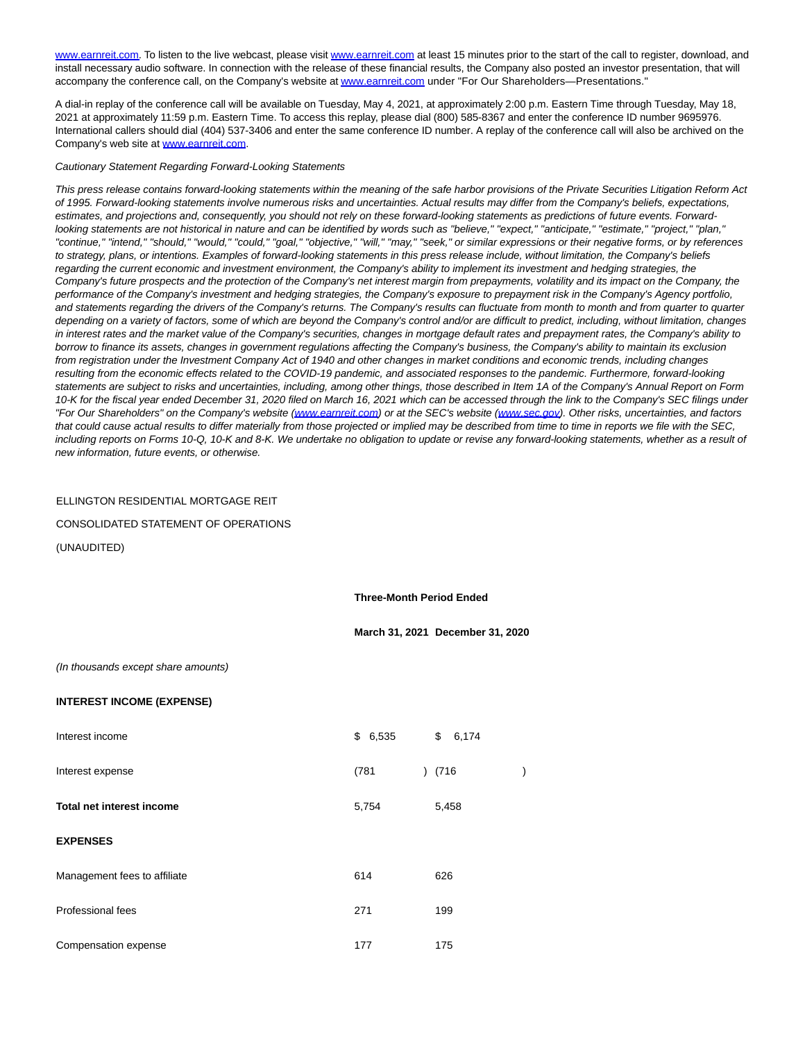[www.earnreit.com.](https://cts.businesswire.com/ct/CT?id=smartlink&url=http%3A%2F%2Fwww.earnreit.com&esheet=52422262&newsitemid=20210503005690&lan=en-US&anchor=www.earnreit.com&index=1&md5=d352812c6ea74b5897015ead861a14e4) To listen to the live webcast, please visit [www.earnreit.com a](https://cts.businesswire.com/ct/CT?id=smartlink&url=http%3A%2F%2Fwww.earnreit.com&esheet=52422262&newsitemid=20210503005690&lan=en-US&anchor=www.earnreit.com&index=2&md5=657957f853f3c5801350478ee3bc6a56)t least 15 minutes prior to the start of the call to register, download, and install necessary audio software. In connection with the release of these financial results, the Company also posted an investor presentation, that will accompany the conference call, on the Company's website a[t www.earnreit.com u](https://cts.businesswire.com/ct/CT?id=smartlink&url=http%3A%2F%2Fwww.earnreit.com&esheet=52422262&newsitemid=20210503005690&lan=en-US&anchor=www.earnreit.com&index=3&md5=1331415ce4d46d63f4904406280e07ab)nder "For Our Shareholders-Presentations."

A dial-in replay of the conference call will be available on Tuesday, May 4, 2021, at approximately 2:00 p.m. Eastern Time through Tuesday, May 18, 2021 at approximately 11:59 p.m. Eastern Time. To access this replay, please dial (800) 585-8367 and enter the conference ID number 9695976. International callers should dial (404) 537-3406 and enter the same conference ID number. A replay of the conference call will also be archived on the Company's web site at [www.earnreit.com.](https://cts.businesswire.com/ct/CT?id=smartlink&url=http%3A%2F%2Fwww.earnreit.com&esheet=52422262&newsitemid=20210503005690&lan=en-US&anchor=www.earnreit.com&index=4&md5=62cdd216f3a5e301c6c213486fe53748)

### Cautionary Statement Regarding Forward-Looking Statements

This press release contains forward-looking statements within the meaning of the safe harbor provisions of the Private Securities Litigation Reform Act of 1995. Forward-looking statements involve numerous risks and uncertainties. Actual results may differ from the Company's beliefs, expectations, estimates, and projections and, consequently, you should not rely on these forward-looking statements as predictions of future events. Forwardlooking statements are not historical in nature and can be identified by words such as "believe," "expect," "anticipate," "estimate," "project," "plan,' "continue," "intend," "should," "would," "could," "goal," "objective," "will," "may," "seek," or similar expressions or their negative forms, or by references to strategy, plans, or intentions. Examples of forward-looking statements in this press release include, without limitation, the Company's beliefs regarding the current economic and investment environment, the Company's ability to implement its investment and hedging strategies, the Company's future prospects and the protection of the Company's net interest margin from prepayments, volatility and its impact on the Company, the performance of the Company's investment and hedging strategies, the Company's exposure to prepayment risk in the Company's Agency portfolio, and statements regarding the drivers of the Company's returns. The Company's results can fluctuate from month to month and from quarter to quarter depending on a variety of factors, some of which are beyond the Company's control and/or are difficult to predict, including, without limitation, changes in interest rates and the market value of the Company's securities, changes in mortgage default rates and prepayment rates, the Company's ability to borrow to finance its assets, changes in government regulations affecting the Company's business, the Company's ability to maintain its exclusion from registration under the Investment Company Act of 1940 and other changes in market conditions and economic trends, including changes resulting from the economic effects related to the COVID-19 pandemic, and associated responses to the pandemic. Furthermore, forward-looking statements are subject to risks and uncertainties, including, among other things, those described in Item 1A of the Company's Annual Report on Form 10-K for the fiscal year ended December 31, 2020 filed on March 16, 2021 which can be accessed through the link to the Company's SEC filings under "For Our Shareholders" on the Company's website [\(www.earnreit.com\)](https://cts.businesswire.com/ct/CT?id=smartlink&url=http%3A%2F%2Fwww.earnreit.com&esheet=52422262&newsitemid=20210503005690&lan=en-US&anchor=www.earnreit.com&index=5&md5=da8e18dffea8de1f34d027ae5a4b6414) or at the SEC's website [\(www.sec.gov\).](https://cts.businesswire.com/ct/CT?id=smartlink&url=http%3A%2F%2Fwww.sec.gov&esheet=52422262&newsitemid=20210503005690&lan=en-US&anchor=www.sec.gov&index=6&md5=2a875e35affc68170b0162802669cefc) Other risks, uncertainties, and factors that could cause actual results to differ materially from those projected or implied may be described from time to time in reports we file with the SEC, including reports on Forms 10-Q, 10-K and 8-K. We undertake no obligation to update or revise any forward-looking statements, whether as a result of new information, future events, or otherwise.

# ELLINGTON RESIDENTIAL MORTGAGE REIT

CONSOLIDATED STATEMENT OF OPERATIONS

(UNAUDITED)

#### **Three-Month Period Ended**

**March 31, 2021 December 31, 2020**

(In thousands except share amounts)

### **INTEREST INCOME (EXPENSE)**

| Interest income              | \$6,535 | \$<br>6,174 |
|------------------------------|---------|-------------|
| Interest expense             | (781)   | (716)       |
| Total net interest income    | 5,754   | 5,458       |
| <b>EXPENSES</b>              |         |             |
| Management fees to affiliate | 614     | 626         |
| Professional fees            | 271     | 199         |
| Compensation expense         | 177     | 175         |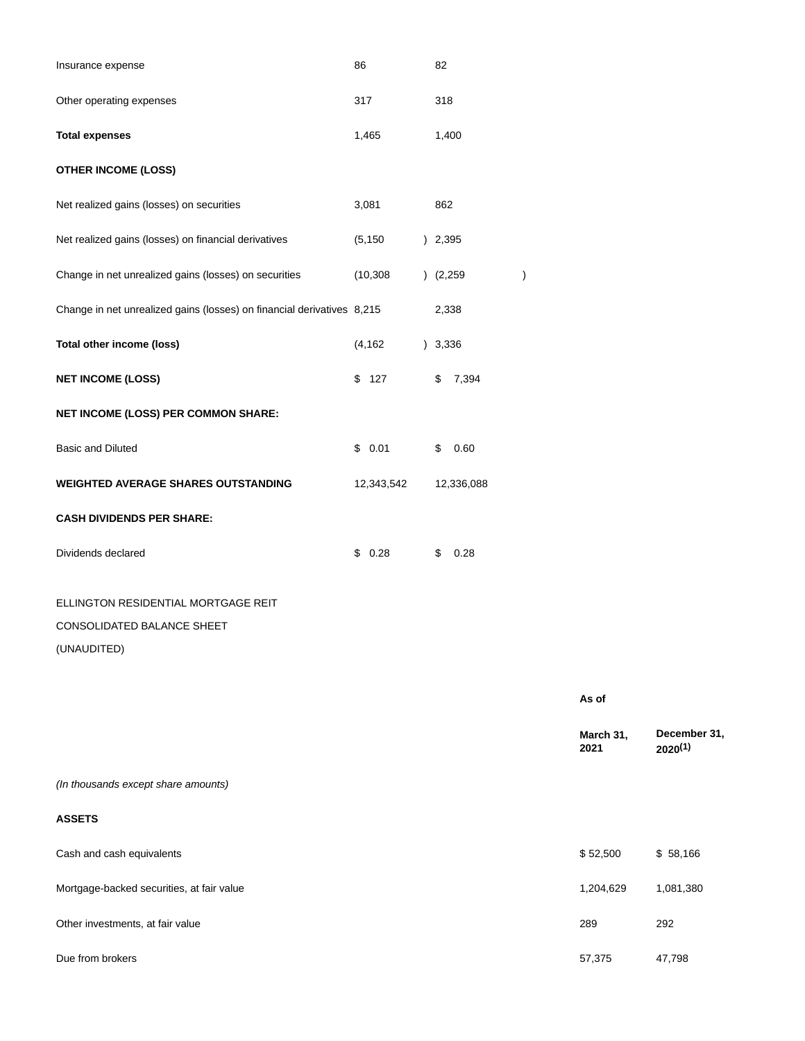| Insurance expense                                                      | 86         | 82          |           |                   |                              |
|------------------------------------------------------------------------|------------|-------------|-----------|-------------------|------------------------------|
| Other operating expenses                                               | 317        | 318         |           |                   |                              |
| <b>Total expenses</b>                                                  | 1,465      | 1,400       |           |                   |                              |
| <b>OTHER INCOME (LOSS)</b>                                             |            |             |           |                   |                              |
| Net realized gains (losses) on securities                              | 3,081      | 862         |           |                   |                              |
| Net realized gains (losses) on financial derivatives                   | (5, 150)   | ) 2,395     |           |                   |                              |
| Change in net unrealized gains (losses) on securities                  | (10, 308)  | $)$ (2,259) | $\lambda$ |                   |                              |
| Change in net unrealized gains (losses) on financial derivatives 8,215 |            | 2,338       |           |                   |                              |
| Total other income (loss)                                              | (4, 162)   | ) 3,336     |           |                   |                              |
| <b>NET INCOME (LOSS)</b>                                               | \$127      | \$<br>7,394 |           |                   |                              |
| NET INCOME (LOSS) PER COMMON SHARE:                                    |            |             |           |                   |                              |
| <b>Basic and Diluted</b>                                               | \$0.01     | \$0.60      |           |                   |                              |
| <b>WEIGHTED AVERAGE SHARES OUTSTANDING</b>                             | 12,343,542 | 12,336,088  |           |                   |                              |
| <b>CASH DIVIDENDS PER SHARE:</b>                                       |            |             |           |                   |                              |
| Dividends declared                                                     | \$0.28     | \$<br>0.28  |           |                   |                              |
| ELLINGTON RESIDENTIAL MORTGAGE REIT                                    |            |             |           |                   |                              |
| CONSOLIDATED BALANCE SHEET                                             |            |             |           |                   |                              |
| (UNAUDITED)                                                            |            |             |           |                   |                              |
|                                                                        |            |             |           |                   |                              |
|                                                                        |            |             |           | As of             |                              |
|                                                                        |            |             |           | March 31,<br>2021 | December 31,<br>$2020^{(1)}$ |
| (In thousands except share amounts)                                    |            |             |           |                   |                              |
| <b>ASSETS</b>                                                          |            |             |           |                   |                              |
| Cash and cash equivalents                                              |            |             |           | \$52,500          | \$58,166                     |
| Mortgage-backed securities, at fair value                              |            |             |           | 1,204,629         | 1,081,380                    |
| Other investments, at fair value                                       |            |             |           | 289               | 292                          |
| Due from brokers                                                       |            |             |           | 57,375            | 47,798                       |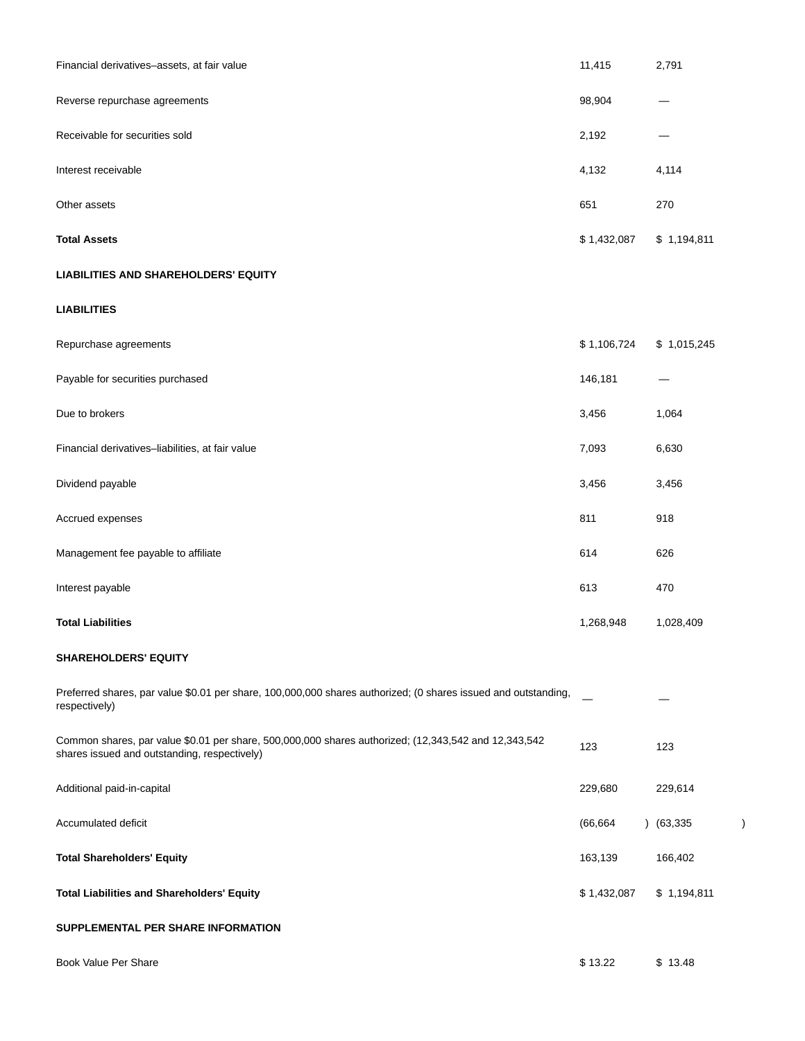| Financial derivatives-assets, at fair value                                                                                                          | 11,415      | 2,791       |
|------------------------------------------------------------------------------------------------------------------------------------------------------|-------------|-------------|
| Reverse repurchase agreements                                                                                                                        | 98,904      |             |
| Receivable for securities sold                                                                                                                       | 2,192       |             |
| Interest receivable                                                                                                                                  | 4,132       | 4,114       |
| Other assets                                                                                                                                         | 651         | 270         |
| <b>Total Assets</b>                                                                                                                                  | \$1,432,087 | \$1,194,811 |
| <b>LIABILITIES AND SHAREHOLDERS' EQUITY</b>                                                                                                          |             |             |
| <b>LIABILITIES</b>                                                                                                                                   |             |             |
| Repurchase agreements                                                                                                                                | \$1,106,724 | \$1,015,245 |
| Payable for securities purchased                                                                                                                     | 146,181     |             |
| Due to brokers                                                                                                                                       | 3,456       | 1,064       |
| Financial derivatives-liabilities, at fair value                                                                                                     | 7,093       | 6,630       |
| Dividend payable                                                                                                                                     | 3,456       | 3,456       |
| Accrued expenses                                                                                                                                     | 811         | 918         |
| Management fee payable to affiliate                                                                                                                  | 614         | 626         |
|                                                                                                                                                      |             |             |
| Interest payable                                                                                                                                     | 613         | 470         |
| <b>Total Liabilities</b>                                                                                                                             | 1,268,948   | 1,028,409   |
| <b>SHAREHOLDERS' EQUITY</b>                                                                                                                          |             |             |
| Preferred shares, par value \$0.01 per share, 100,000,000 shares authorized; (0 shares issued and outstanding,<br>respectively)                      |             |             |
| Common shares, par value \$0.01 per share, 500,000,000 shares authorized; (12,343,542 and 12,343,542<br>shares issued and outstanding, respectively) | 123         | 123         |
| Additional paid-in-capital                                                                                                                           | 229,680     | 229,614     |
| Accumulated deficit                                                                                                                                  | (66, 664)   | (63, 335)   |
| <b>Total Shareholders' Equity</b>                                                                                                                    | 163,139     | 166,402     |
| <b>Total Liabilities and Shareholders' Equity</b>                                                                                                    | \$1,432,087 | \$1,194,811 |

Book Value Per Share \$ 13.48